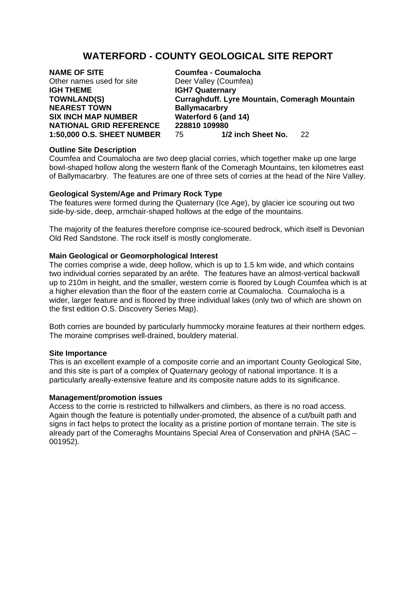# **WATERFORD - COUNTY GEOLOGICAL SITE REPORT**

**NAME OF SITE Coumfea - Coumalocha** Other names used for site **Deer Valley (Coumfea) IGH THEME IGH7 Quaternary NEAREST TOWN Ballymacarbry SIX INCH MAP NUMBER Waterford 6 (and 14)** 

**TOWNLAND(S) Curraghduff. Lyre Mountain, Comeragh Mountain NATIONAL GRID REFERENCE 228810 109980**<br>1:50,000 O.S. SHEET NUMBER 75 1/2 inch Sheet No. **1:50,000 O.S. SHEET NUMBER** 75 **1/2 inch Sheet No.** 22

# **Outline Site Description**

Coumfea and Coumalocha are two deep glacial corries, which together make up one large bowl-shaped hollow along the western flank of the Comeragh Mountains, ten kilometres east of Ballymacarbry. The features are one of three sets of corries at the head of the Nire Valley.

# **Geological System/Age and Primary Rock Type**

The features were formed during the Quaternary (Ice Age), by glacier ice scouring out two side-by-side, deep, armchair-shaped hollows at the edge of the mountains.

The majority of the features therefore comprise ice-scoured bedrock, which itself is Devonian Old Red Sandstone. The rock itself is mostly conglomerate.

# **Main Geological or Geomorphological Interest**

The corries comprise a wide, deep hollow, which is up to 1.5 km wide, and which contains two individual corries separated by an arête. The features have an almost-vertical backwall up to 210m in height, and the smaller, western corrie is floored by Lough Coumfea which is at a higher elevation than the floor of the eastern corrie at Coumalocha. Coumalocha is a wider, larger feature and is floored by three individual lakes (only two of which are shown on the first edition O.S. Discovery Series Map).

Both corries are bounded by particularly hummocky moraine features at their northern edges. The moraine comprises well-drained, bouldery material.

### **Site Importance**

This is an excellent example of a composite corrie and an important County Geological Site, and this site is part of a complex of Quaternary geology of national importance. It is a particularly areally-extensive feature and its composite nature adds to its significance.

### **Management/promotion issues**

Access to the corrie is restricted to hillwalkers and climbers, as there is no road access. Again though the feature is potentially under-promoted, the absence of a cut/built path and signs in fact helps to protect the locality as a pristine portion of montane terrain. The site is already part of the Comeraghs Mountains Special Area of Conservation and pNHA (SAC – 001952).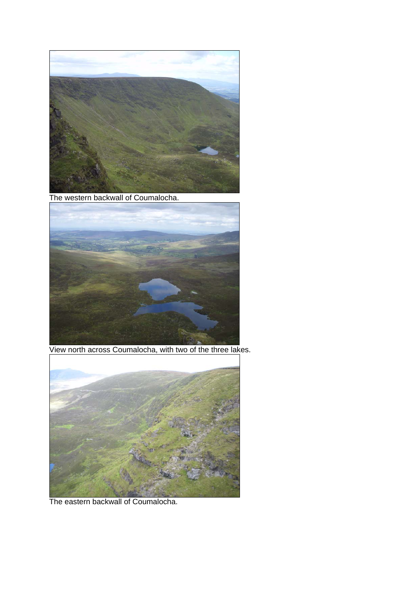

The western backwall of Coumalocha.



View north across Coumalocha, with two of the three lakes.



The eastern backwall of Coumalocha.